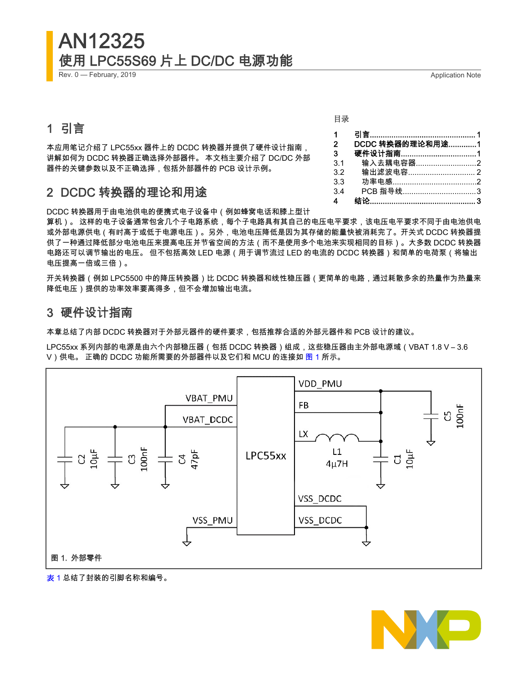# AN12325 使用 LPC55S69 片上 DC/DC 电源功能

Rev. 0 — February, 2019 **Application Note** 

# 1 引言

本应用笔记介绍了 LPC55xx 器件上的 DCDC 转换器并提供了硬件设计指南, 讲解如何为 DCDC 转换器正确选择外部器件。 本文档主要介绍了 DC/DC 外部 器件的关键参数以及不正确选择,包括外部器件的 PCB 设计示例。

# 2 DCDC 转换器的理论和用途

DCDC 转换器用于由电池供电的便携式电子设备中(例如蜂窝电话和膝上型计

算机)。 这样的电子设备通常包含几个子电路系统,每个子电路具有其自己的电压电平要求,该电压电平要求不同于由电池供电 或外部电源供电(有时高于或低于电源电压)。另外,电池电压降低是因为其存储的能量快被消耗完了。开关式 DCDC 转换器提 供了一种通过降低部分电池电压来提高电压并节省空间的方法(而不是使用多个电池来实现相同的目标)。大多数 DCDC 转换器 电路还可以调节输出的电压。 但不包括高效 LED 电源(用于调节流过 LED 的电流的 DCDC 转换器)和简单的电荷泵(将输出 电压提高一倍或三倍)。

开关转换器(例如 LPC5500 中的降压转换器)比 DCDC 转换器和线性稳压器(更简单的电路,通过耗散多余的热量作为热量来 降低电压)提供的功率效率要高得多,但不会增加输出电流。

## 3 硬件设计指南

本章总结了内部 DCDC 转换器对于外部元器件的硬件要求,包括推荐合适的外部元器件和 PCB 设计的建议。

LPC55xx 系列内部的电源是由六个内部稳压器(包括 DCDC 转换器)组成,这些稳压器由主外部电源域(VBAT 1.8 V – 3.6 V)供电。 正确的 DCDC 功能所需要的外部器件以及它们和 MCU 的连接如 图 1 所示。







1 引言................................................. 1 2 DCDC 转换器的理论和用途.............1 3 硬件设计指南...................................1 3.1 输入去耦电容器...............................2 [3.2 输出滤波电容............................... 2](#page-1-0) [3.3 功率电感.......................................2](#page-1-0) [3.4 PCB 指导线..................................3](#page-2-0) [4 结论................................................. 3](#page-2-0)

目录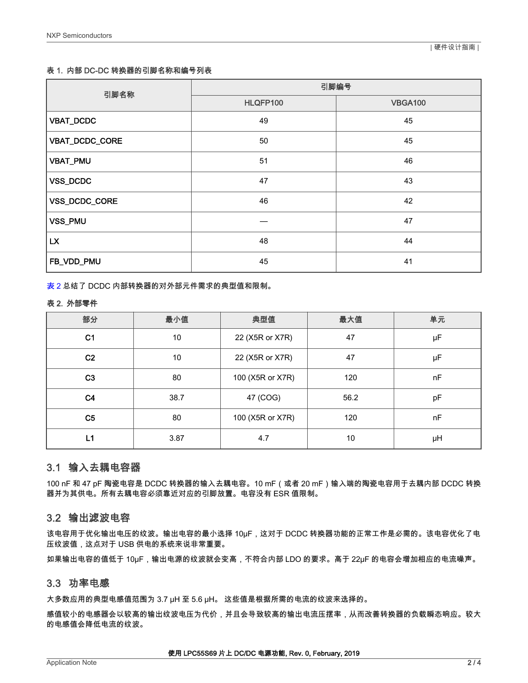### <span id="page-1-0"></span>表 1. 内部 DC-DC 转换器的引脚名称和编号列表

| 引脚名称             | 引脚编号     |                |  |
|------------------|----------|----------------|--|
|                  | HLQFP100 | <b>VBGA100</b> |  |
| <b>VBAT_DCDC</b> | 49       | 45             |  |
| VBAT_DCDC_CORE   | 50       | 45             |  |
| VBAT_PMU         | 51       | 46             |  |
| VSS_DCDC         | 47       | 43             |  |
| VSS_DCDC_CORE    | 46       | 42             |  |
| VSS_PMU          |          | 47             |  |
| <b>LX</b>        | 48       | 44             |  |
| FB_VDD_PMU       | 45       | 41             |  |

表 2 总结了 DCDC 内部转换器的对外部元件需求的典型值和限制。

#### 表 2. 外部零件

| 部分             | 最小值  | 典型值              | 最大值  | 单元 |
|----------------|------|------------------|------|----|
| C <sub>1</sub> | 10   | 22 (X5R or X7R)  | 47   | μF |
| C <sub>2</sub> | 10   | 22 (X5R or X7R)  | 47   | μF |
| C <sub>3</sub> | 80   | 100 (X5R or X7R) | 120  | nF |
| C <sub>4</sub> | 38.7 | 47 (COG)         | 56.2 | pF |
| C <sub>5</sub> | 80   | 100 (X5R or X7R) | 120  | nF |
| L1             | 3.87 | 4.7              | 10   | μH |

## 3.1 输入去耦电容器

100 nF 和 47 pF 陶瓷电容是 DCDC 转换器的输入去耦电容。10 mF(或者 20 mF)输入端的陶瓷电容用于去耦内部 DCDC 转换 器并为其供电。所有去耦电容必须靠近对应的引脚放置。电容没有 ESR 值限制。

## 3.2 输出滤波电容

该电容用于优化输出电压的纹波。输出电容的最小选择 10μF,这对于 DCDC 转换器功能的正常工作是必需的。该电容优化了电 压纹波值,这点对于 USB 供电的系统来说非常重要。

如果输出电容的值低于 10μF,输出电源的纹波就会变高,不符合内部 LDO 的要求。高于 22μF 的电容会增加相应的电流噪声。

## 3.3 功率电感

大多数应用的典型电感值范围为 3.7 μH 至 5.6 μH。 这些值是根据所需的电流的纹波来选择的。

感值较小的电感器会以较高的输出纹波电压为代价,并且会导致较高的输出电流压摆率,从而改善转换器的负载瞬态响应。较大 的电感值会降低电流的纹波。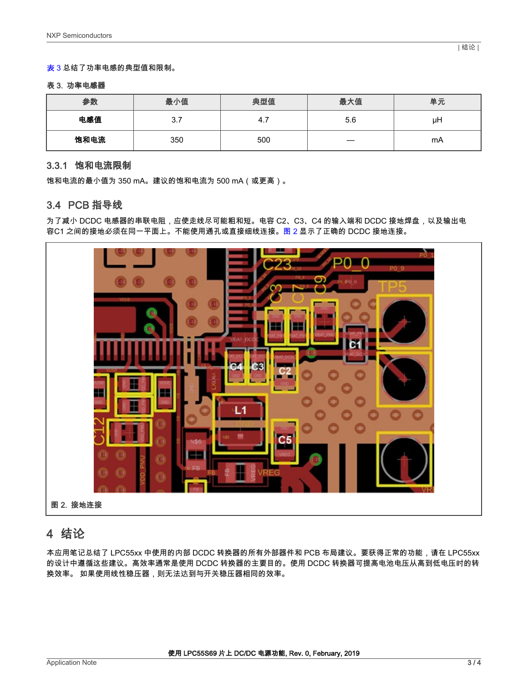#### <span id="page-2-0"></span>表 3 总结了功率电感的典型值和限制。

#### 表 3. 功率电感器

| 参数   | 最小值 | 典型值 | 最大值 | 单元 |
|------|-----|-----|-----|----|
| 电感值  | 3.7 | 4.7 | 5.6 | μH |
| 饱和电流 | 350 | 500 |     | mA |

### 3.3.1 饱和电流限制

饱和电流的最小值为 350 mA。建议的饱和电流为 500 mA(或更高)。

## 3.4 PCB 指导线

为了减小 DCDC 电感器的串联电阻,应使走线尽可能粗和短。电容 C2、C3、C4 的输入端和 DCDC 接地焊盘,以及输出电 容C1 之间的接地必须在同一平面上。不能使用通孔或直接细线连接。图 2 显示了正确的 DCDC 接地连接。



# 4 结论

本应用笔记总结了 LPC55xx 中使用的内部 DCDC 转换器的所有外部器件和 PCB 布局建议。要获得正常的功能,请在 LPC55xx 的设计中遵循这些建议。高效率通常是使用 DCDC 转换器的主要目的。使用 DCDC 转换器可提高电池电压从高到低电压时的转 换效率。 如果使用线性稳压器,则无法达到与开关稳压器相同的效率。